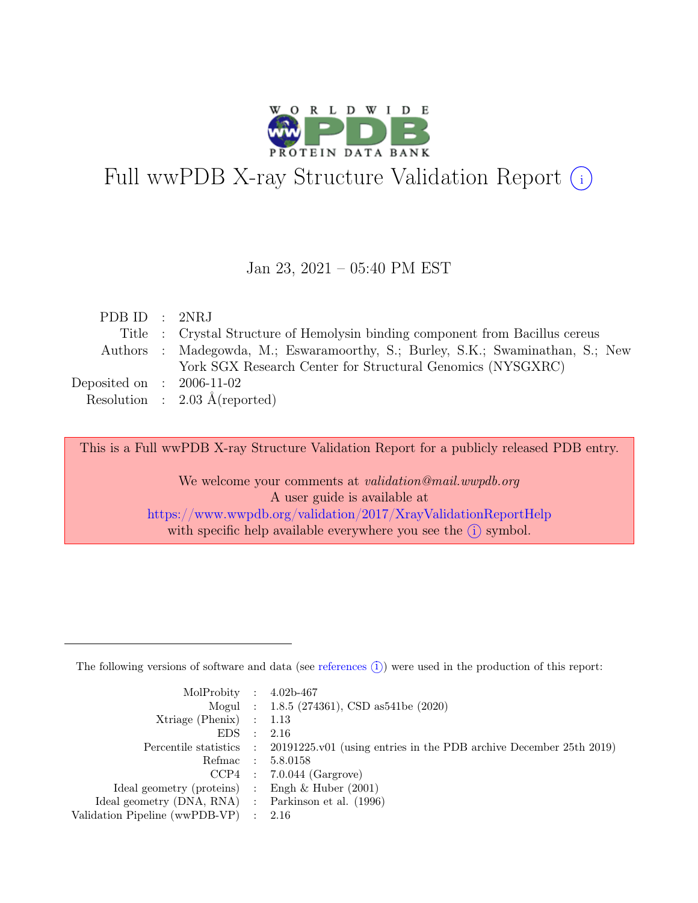

# Full wwPDB X-ray Structure Validation Report  $(i)$

#### Jan 23, 2021 – 05:40 PM EST

| PDB ID : 2NRJ               |                                                                               |
|-----------------------------|-------------------------------------------------------------------------------|
|                             | Title : Crystal Structure of Hemolysin binding component from Bacillus cereus |
|                             | Authors: Madegowda, M.; Eswaramoorthy, S.; Burley, S.K.; Swaminathan, S.; New |
|                             | York SGX Research Center for Structural Genomics (NYSGXRC)                    |
| Deposited on : $2006-11-02$ |                                                                               |
|                             | Resolution : $2.03 \text{ Å}$ (reported)                                      |

This is a Full wwPDB X-ray Structure Validation Report for a publicly released PDB entry.

We welcome your comments at *validation@mail.wwpdb.org* A user guide is available at <https://www.wwpdb.org/validation/2017/XrayValidationReportHelp> with specific help available everywhere you see the  $(i)$  symbol.

The following versions of software and data (see [references](https://www.wwpdb.org/validation/2017/XrayValidationReportHelp#references)  $(i)$ ) were used in the production of this report:

| MolProbity : $4.02b-467$                            |           |                                                                                            |
|-----------------------------------------------------|-----------|--------------------------------------------------------------------------------------------|
|                                                     |           | Mogul : 1.8.5 (274361), CSD as 541be (2020)                                                |
| Xtriage (Phenix) $: 1.13$                           |           |                                                                                            |
| EDS                                                 | $\cdot$ : | 2.16                                                                                       |
|                                                     |           | Percentile statistics : 20191225.v01 (using entries in the PDB archive December 25th 2019) |
|                                                     |           | Refmac : 5.8.0158                                                                          |
|                                                     |           | $CCP4$ : 7.0.044 (Gargrove)                                                                |
| Ideal geometry (proteins) : Engh $\&$ Huber (2001)  |           |                                                                                            |
| Ideal geometry (DNA, RNA) : Parkinson et al. (1996) |           |                                                                                            |
| Validation Pipeline (wwPDB-VP) : $2.16$             |           |                                                                                            |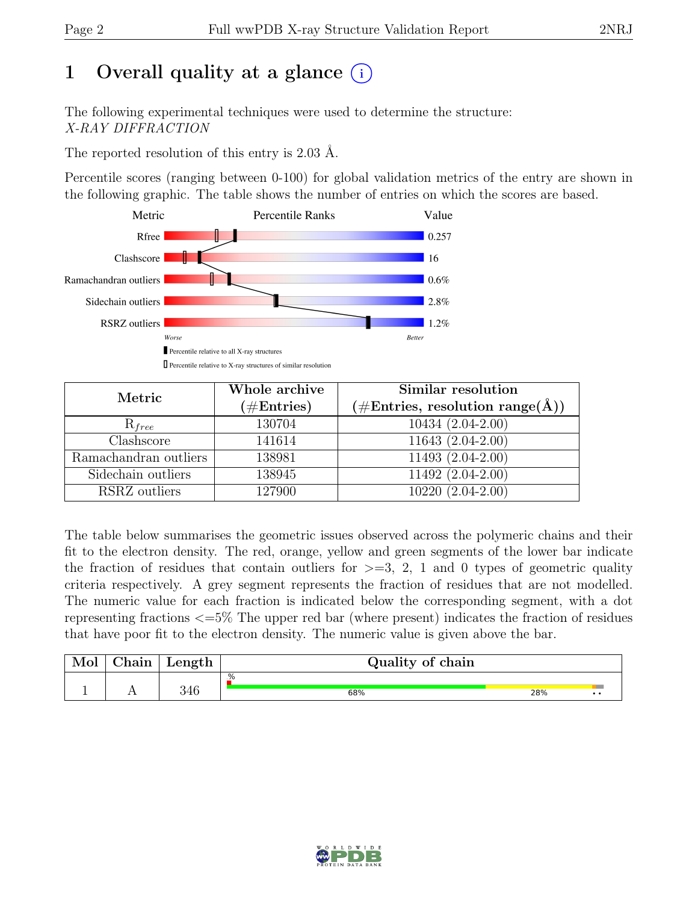# 1 Overall quality at a glance  $(i)$

The following experimental techniques were used to determine the structure: X-RAY DIFFRACTION

The reported resolution of this entry is 2.03 Å.

Percentile scores (ranging between 0-100) for global validation metrics of the entry are shown in the following graphic. The table shows the number of entries on which the scores are based.



| Metric                | Whole archive<br>$(\#Entries)$ | Similar resolution<br>$(\# \text{Entries}, \text{ resolution } \text{range}(\AA))$ |
|-----------------------|--------------------------------|------------------------------------------------------------------------------------|
| $R_{free}$            | 130704                         | 10434 (2.04-2.00)                                                                  |
| Clashscore            | 141614                         | 11643 (2.04-2.00)                                                                  |
| Ramachandran outliers | 138981                         | 11493 (2.04-2.00)                                                                  |
| Sidechain outliers    | 138945                         | 11492 (2.04-2.00)                                                                  |
| RSRZ outliers         | 127900                         | $10220(2.04-2.00)$                                                                 |

The table below summarises the geometric issues observed across the polymeric chains and their fit to the electron density. The red, orange, yellow and green segments of the lower bar indicate the fraction of residues that contain outliers for  $\geq$ =3, 2, 1 and 0 types of geometric quality criteria respectively. A grey segment represents the fraction of residues that are not modelled. The numeric value for each fraction is indicated below the corresponding segment, with a dot representing fractions <=5% The upper red bar (where present) indicates the fraction of residues that have poor fit to the electron density. The numeric value is given above the bar.

| Mor | $\sim$ $\sim$<br>hain | $\mu$ ength | Quality of chain |     |  |  |
|-----|-----------------------|-------------|------------------|-----|--|--|
|     |                       |             | .%               |     |  |  |
|     | $\overline{1}$        | 346         | 68%              | 28% |  |  |

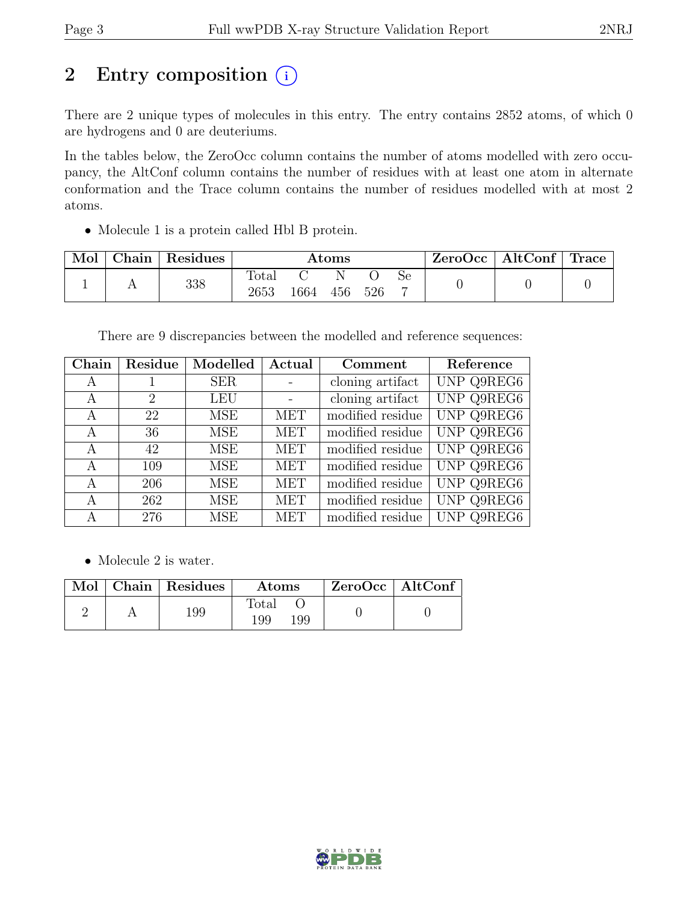# 2 Entry composition  $(i)$

There are 2 unique types of molecules in this entry. The entry contains 2852 atoms, of which 0 are hydrogens and 0 are deuteriums.

In the tables below, the ZeroOcc column contains the number of atoms modelled with zero occupancy, the AltConf column contains the number of residues with at least one atom in alternate conformation and the Trace column contains the number of residues modelled with at most 2 atoms.

• Molecule 1 is a protein called Hbl B protein.

| Mol | Chain | Residues | $\rm{Atoms}$  |      |     |     | ZeroOcc | $\vert$ AltConf $\vert$ Trace |  |  |
|-----|-------|----------|---------------|------|-----|-----|---------|-------------------------------|--|--|
|     |       | 338      | Total<br>2653 | 1664 | 456 | 526 | Se<br>− |                               |  |  |

There are 9 discrepancies between the modelled and reference sequences:

| Chain | Residue | Modelled   | Actual     | Comment          | Reference         |
|-------|---------|------------|------------|------------------|-------------------|
| A     |         | <b>SER</b> | $\sim$     | cloning artifact | UNP Q9REG6        |
| А     | 2       | <b>LEU</b> |            | cloning artifact | <b>UNP Q9REG6</b> |
| А     | 22      | MSE        | MET        | modified residue | <b>UNP Q9REG6</b> |
| A     | 36      | MSE        | <b>MET</b> | modified residue | <b>UNP Q9REG6</b> |
| A     | 42      | <b>MSE</b> | <b>MET</b> | modified residue | <b>UNP Q9REG6</b> |
| А     | 109     | <b>MSE</b> | <b>MET</b> | modified residue | UNP Q9REG6        |
| A     | 206     | <b>MSE</b> | MET        | modified residue | <b>UNP Q9REG6</b> |
| A     | 262     | <b>MSE</b> | MET        | modified residue | <b>UNP Q9REG6</b> |
| А     | 276     | <b>MSE</b> | <b>MET</b> | modified residue | UNP Q9REG6        |

• Molecule 2 is water.

|  | Mol   Chain   Residues | Atoms        |     | ZeroOcc   AltConf |  |
|--|------------------------|--------------|-----|-------------------|--|
|  | 199                    | Total<br>199 | 199 |                   |  |

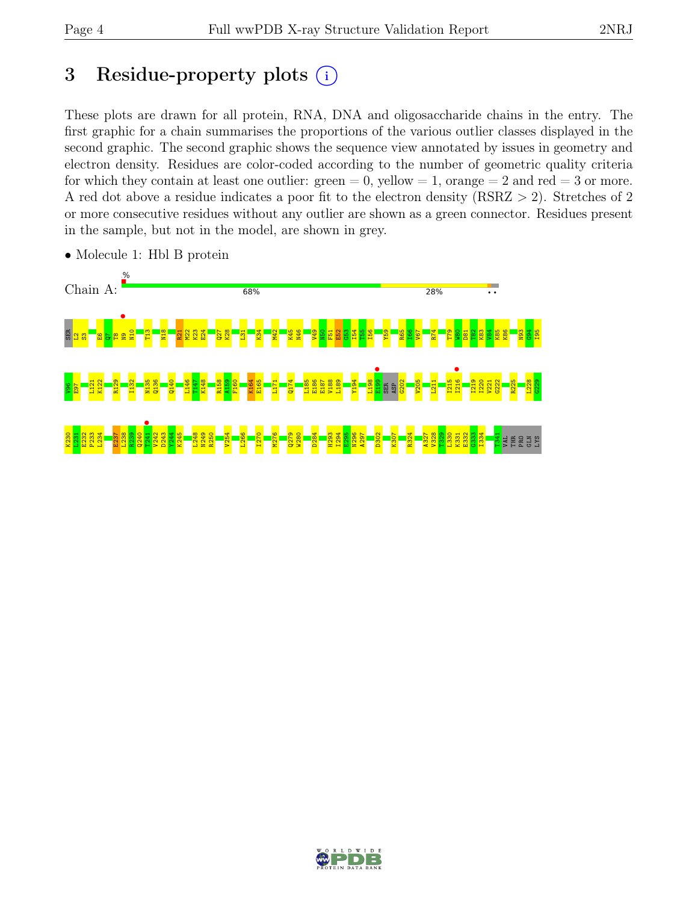# 3 Residue-property plots  $(i)$

These plots are drawn for all protein, RNA, DNA and oligosaccharide chains in the entry. The first graphic for a chain summarises the proportions of the various outlier classes displayed in the second graphic. The second graphic shows the sequence view annotated by issues in geometry and electron density. Residues are color-coded according to the number of geometric quality criteria for which they contain at least one outlier:  $green = 0$ , yellow  $= 1$ , orange  $= 2$  and red  $= 3$  or more. A red dot above a residue indicates a poor fit to the electron density (RSRZ > 2). Stretches of 2 or more consecutive residues without any outlier are shown as a green connector. Residues present in the sample, but not in the model, are shown in grey.



• Molecule 1: Hbl B protein

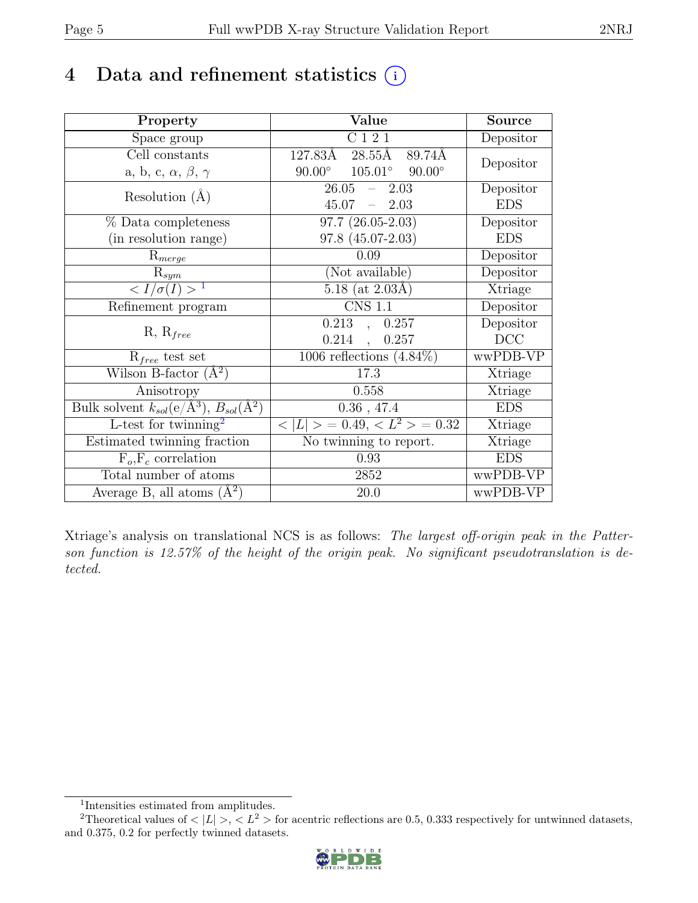# 4 Data and refinement statistics  $(i)$

| Property                                                             | Value                                    | <b>Source</b>  |
|----------------------------------------------------------------------|------------------------------------------|----------------|
| Space group                                                          | C121                                     | Depositor      |
| Cell constants                                                       | $127.83\text{\AA}$<br>28.55Å<br>89.74Å   |                |
| a, b, c, $\alpha$ , $\beta$ , $\gamma$                               | $105.01^{\circ}$ 90.00°<br>$90.00^\circ$ | Depositor      |
| Resolution $(A)$                                                     | 26.05<br>2.03<br>$\equiv$                | Depositor      |
|                                                                      | 45.07<br>$-2.03$                         | <b>EDS</b>     |
| % Data completeness                                                  | $97.7(26.05-2.03)$                       | Depositor      |
| (in resolution range)                                                | $97.8(45.07-2.03)$                       | <b>EDS</b>     |
| $R_{merge}$                                                          | 0.09                                     | Depositor      |
| $\mathrm{R}_{sym}$                                                   | (Not available)                          | Depositor      |
| $\langle I/\sigma(I) \rangle^{-1}$                                   | $5.18$ (at 2.03Å)                        | Xtriage        |
| Refinement program                                                   | <b>CNS 1.1</b>                           | Depositor      |
|                                                                      | $0.213$ , $0.257$                        | Depositor      |
| $R, R_{free}$                                                        | $0.214$ ,<br>0.257                       | DCC            |
| $R_{free}$ test set                                                  | 1006 reflections $(4.84\%)$              | wwPDB-VP       |
| Wilson B-factor $(A^2)$                                              | 17.3                                     | Xtriage        |
| Anisotropy                                                           | 0.558                                    | Xtriage        |
| Bulk solvent $k_{sol}(e/\mathring{A}^3)$ , $B_{sol}(\mathring{A}^2)$ | $0.36$ , 47.4                            | <b>EDS</b>     |
| L-test for twinning <sup>2</sup>                                     | $< L >$ = 0.49, $< L^2 >$ = 0.32         | <b>Xtriage</b> |
| Estimated twinning fraction                                          | No twinning to report.                   | Xtriage        |
| $F_o, F_c$ correlation                                               | 0.93                                     | <b>EDS</b>     |
| Total number of atoms                                                | 2852                                     | wwPDB-VP       |
| Average B, all atoms $(A^2)$                                         | 20.0                                     | wwPDB-VP       |

Xtriage's analysis on translational NCS is as follows: The largest off-origin peak in the Patterson function is 12.57% of the height of the origin peak. No significant pseudotranslation is detected.

<sup>&</sup>lt;sup>2</sup>Theoretical values of  $\langle |L| \rangle$ ,  $\langle L^2 \rangle$  for acentric reflections are 0.5, 0.333 respectively for untwinned datasets, and 0.375, 0.2 for perfectly twinned datasets.



<span id="page-4-1"></span><span id="page-4-0"></span><sup>1</sup> Intensities estimated from amplitudes.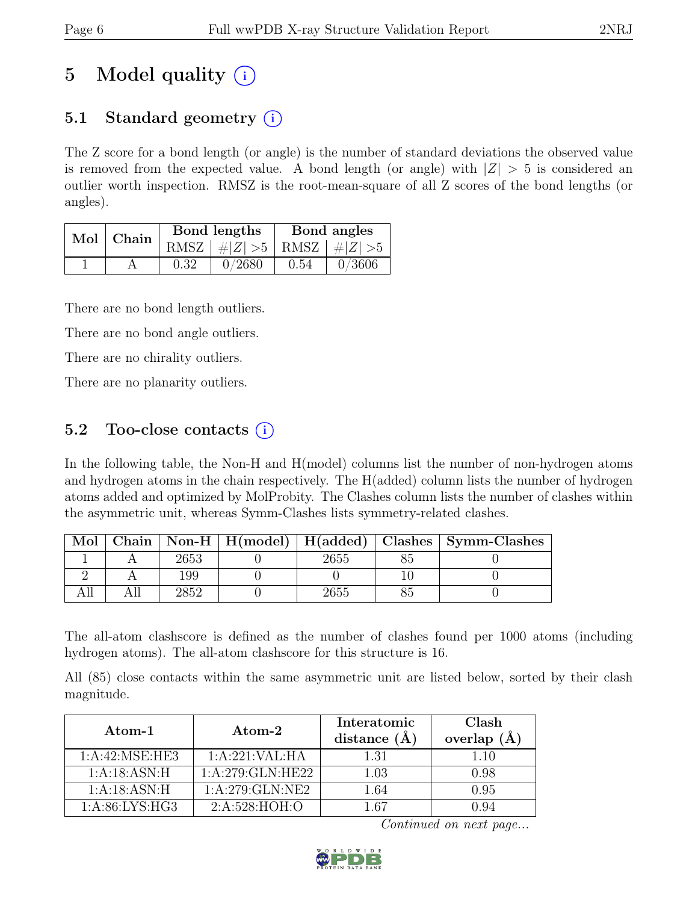# 5 Model quality  $(i)$

# 5.1 Standard geometry  $(i)$

The Z score for a bond length (or angle) is the number of standard deviations the observed value is removed from the expected value. A bond length (or angle) with  $|Z| > 5$  is considered an outlier worth inspection. RMSZ is the root-mean-square of all Z scores of the bond lengths (or angles).

| Mol | Chain |      | Bond lengths                    | Bond angles |        |
|-----|-------|------|---------------------------------|-------------|--------|
|     |       |      | RMSZ $ #Z  > 5$ RMSZ $ #Z  > 5$ |             |        |
|     |       | 0.32 | 0/2680                          | 0.54        | 0/3606 |

There are no bond length outliers.

There are no bond angle outliers.

There are no chirality outliers.

There are no planarity outliers.

# 5.2 Too-close contacts  $(i)$

In the following table, the Non-H and H(model) columns list the number of non-hydrogen atoms and hydrogen atoms in the chain respectively. The H(added) column lists the number of hydrogen atoms added and optimized by MolProbity. The Clashes column lists the number of clashes within the asymmetric unit, whereas Symm-Clashes lists symmetry-related clashes.

| Mol |     |      | Chain   Non-H   $H$ (model)   $H$ (added)   Clashes   Symm-Clashes |
|-----|-----|------|--------------------------------------------------------------------|
|     |     | 2655 |                                                                    |
|     | 199 |      |                                                                    |
|     |     | 2655 |                                                                    |

The all-atom clashscore is defined as the number of clashes found per 1000 atoms (including hydrogen atoms). The all-atom clashscore for this structure is 16.

All (85) close contacts within the same asymmetric unit are listed below, sorted by their clash magnitude.

| Atom-1            | $\rm{Atom}\text{-}2$ | Interatomic<br>distance $(\AA)$ | Clash<br>overlap $(\AA)$ |
|-------------------|----------------------|---------------------------------|--------------------------|
| 1:A:42:MSE:HE3    | 1:A:221:VAL:HA       | 1.31                            | 1.10                     |
| 1:A:18:ASN:H      | 1: A:279: GLN: HE22  | 1.03                            | 0.98                     |
| 1:A:18:ASN:H      | 1:A:279:GLN:NE2      | 1.64                            | 0.95                     |
| 1: A:86: LYS: HG3 | 2: A:528: HOH:O      | 1 67                            |                          |

Continued on next page...

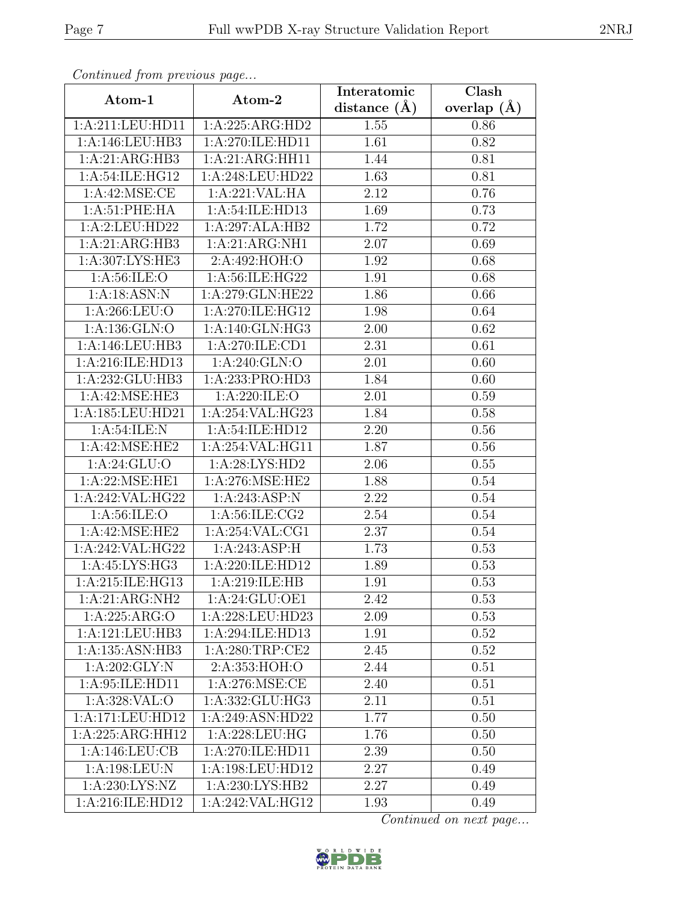| Continuea from previous page |                                      | Interatomic       | Clash         |
|------------------------------|--------------------------------------|-------------------|---------------|
| Atom-1                       | Atom-2                               | distance $(A)$    | overlap $(A)$ |
| 1:A:211:LEU:HD11             | 1:A:225:ARG:HD2                      | 1.55              | 0.86          |
| 1:A:146:LEU:HB3              | 1:A:270:ILE:HD11                     | 1.61              | 0.82          |
| 1:A:21:ARG:HB3               | 1:A:21:ARG:HH11                      | 1.44              | 0.81          |
| 1:A:54:ILE:HG12              | 1:A:248:LEU:HD22                     | 1.63              | 0.81          |
| 1:A:42:MSE:CE                | 1:A:221:VAL:HA                       | 2.12              | 0.76          |
| 1:A:51:PHE:HA                | 1:A:54:ILE:HD13                      | 1.69              | 0.73          |
| 1:A:2:LEU:HD22               | 1:A:297:ALA:HB2                      | $\overline{1}.72$ | 0.72          |
| 1:A:21:ARG:HB3               | 1:A:21:ARG:NH1                       | 2.07              | 0.69          |
| 1:A:307:LYS:HE3              | 2:A:492:HOH:O                        | 1.92              | 0.68          |
| 1: A:56: ILE: O              | 1:A:56:ILE:HG22                      | 1.91              | 0.68          |
| 1:A:18:ASN:N                 | 1:A:279:GLN:HE22                     | 1.86              | 0.66          |
| 1:A:266:LEU:O                | 1:A:270:ILE:HG12                     | 1.98              | 0.64          |
| 1: A: 136: GLN: O            | 1:A:140:GLN:HG3                      | 2.00              | 0.62          |
| 1:A:146:LEU:HB3              | 1:A:270:ILE:CD1                      | 2.31              | 0.61          |
| 1:A:216:ILE:HD13             | 1: A:240: GLN:O                      | 2.01              | 0.60          |
| 1:A:232:GLU:HB3              | 1:A:233:PRO:HD3                      | 1.84              | 0.60          |
| 1:A:42:MSE:HE3               | 1: A:220: ILE:O                      | 2.01              | 0.59          |
| 1:A:185:LEU:HD21             | 1:A:254:VAL:HG23                     | 1.84              | 0.58          |
| 1: A:54:ILE:N                | 1:A:54:ILE:HD12                      | 2.20              | 0.56          |
| 1:A:42:MSE:HE2               | 1:A:254:VAL:HG11                     | 1.87              | 0.56          |
| 1: A:24: GLU:O               | 1:A:28:LYS:HD2                       | 2.06              | 0.55          |
| 1: A:22: MSE: HE1            | 1:A:276:MSE:HE2                      | 1.88              | 0.54          |
| 1:A:242:VAL:HG22             | 1:A:243:ASP:N                        | 2.22              | 0.54          |
| 1: A:56: ILE: O              | 1: A:56: ILE: CG2                    | 2.54              | 0.54          |
| 1:A:42:MSE:HE2               | 1:A:254:VAL:CG1                      | 2.37              | 0.54          |
| 1:A:242:VAL:HG22             | 1:A:243:ASP:H                        | 1.73              | 0.53          |
| 1:A:45:LYS:HG3               | 1:A:220:ILE:HD12                     | 1.89              | 0.53          |
| 1:A:215:ILE:HG13             | 1:A:219:ILE:HB                       | 1.91              | 0.53          |
| $1:A:21:ARG:\overline{NH2}$  | 1:A:24:GLU:OE1                       | 2.42              | 0.53          |
| 1:A:225:ARG:O                | 1:A:228:LEU:HD23                     | 2.09              | 0.53          |
| 1:A:121:LEU:HB3              | $1:A:294:\overline{\text{ILE:HD13}}$ | 1.91              | 0.52          |
| 1:A:135:ASN:HB3              | 1:A:280:TRP:CE2                      | 2.45              | 0.52          |
| 1:A:202:GLY:N                | 2:A:353:HOH:O                        | 2.44              | 0.51          |
| 1: A:95: ILE: HD11           | 1: A:276: MSE:CE                     | 2.40              | 0.51          |
| 1: A:328: VAL:O              | 1:A:332:GLU:HG3                      | 2.11              | 0.51          |
| 1:A:171:LEU:HD12             | 1:A:249:ASN:HD22                     | 1.77              | 0.50          |
| 1:A:225:ARG:HH12             | 1: A:228:LEU:HG                      | 1.76              | 0.50          |
| 1:A:146:LEU:CB               | 1:A:270:ILE:HD11                     | 2.39              | 0.50          |
| 1:A:198:LEU:N                | 1:A:198:LEU:HD12                     | 2.27              | 0.49          |
| 1: A:230: LYS: NZ            | 1: A:230: LYS: HB2                   | 2.27              | 0.49          |
| 1:A:216:ILE:HD12             | 1:A:242:VAL:HG12                     | 1.93              | 0.49          |

Continued from previous page.

Continued on next page...

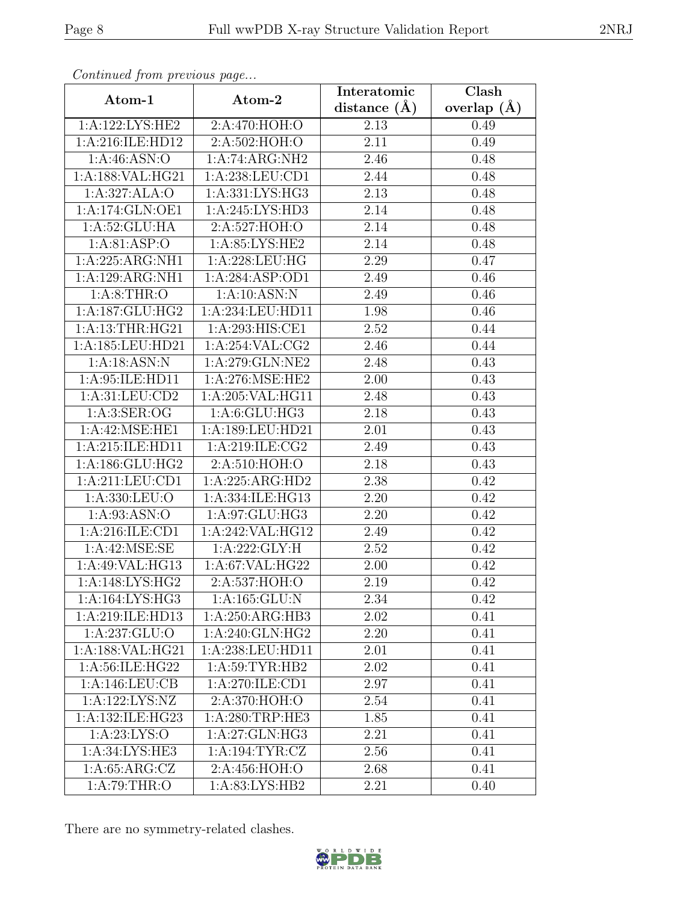| Continuea from previous page |                               | Interatomic       | Clash         |
|------------------------------|-------------------------------|-------------------|---------------|
| Atom-1                       | Atom-2                        | distance $(A)$    | overlap $(A)$ |
| 1:A:122:LYS:HE2              | 2:A:470:HOH:O                 | 2.13              | 0.49          |
| 1:A:216:ILE:HD12             | 2: A:502: HOH:O               | $\overline{2.11}$ | 0.49          |
| 1: A:46: ASN:O               | 1:A:74:ARG:NH2                | 2.46              | 0.48          |
| 1:A:188:VAL:HG21             | 1:A:238:LEU:CD1               | 2.44              | 0.48          |
| 1:A:327:ALA:O                | 1:A:331:LYS:H <sub>G3</sub>   | 2.13              | 0.48          |
| 1:A:174:GLN:OE1              | 1:A:245:LYS:HD3               | 2.14              | 0.48          |
| 1: A:52: GLU: HA             | 2:A:527:HOH:O                 | 2.14              | 0.48          |
| 1: A:81: ASP:O               | 1: A:85: LYS: HE2             | 2.14              | 0.48          |
| $1:A:225:ARG:\overline{NH1}$ | 1:A:228:LEU:HG                | 2.29              | 0.47          |
| 1:A:129:ARG:NH1              | 1:A:284:ASP:OD1               | 2.49              | 0.46          |
| 1: A:8:THR:O                 | 1:A:10:ASN:N                  | 2.49              | 0.46          |
| 1:A:187:GLU:HG2              | 1:A:234:LEU:HD11              | 1.98              | 0.46          |
| 1: A:13:THR:HG21             | 1:A:293:HIS:CE1               | 2.52              | 0.44          |
| 1:A:185:LEU:HD21             | 1:A:254:VAL:CG2               | 2.46              | 0.44          |
| 1:A:18:ASN:N                 | 1:A:279:GLN:NE2               | 2.48              | 0.43          |
| 1:A:95:ILE:HD11              | 1: A:276: MSE: HE2            | 2.00              | 0.43          |
| 1: A:31: LEU:CD2             | 1:A:205:VAL:HG11              | 2.48              | 0.43          |
| 1: A:3: SER:OG               | $1: A:6: GLU: H\overline{G3}$ | 2.18              | 0.43          |
| 1:A:42:MSE:HE1               | 1:A:189:LEU:HD21              | 2.01              | 0.43          |
| 1:A:215:ILE:HD11             | 1:A:219:ILE:CG2               | 2.49              | 0.43          |
| 1:A:186:GLU:HG2              | 2:A:510:HOH:O                 | 2.18              | 0.43          |
| 1:A:211:LEU:CD1              | 1:A:225:ARG:HD2               | 2.38              | 0.42          |
| 1:A:330:LEU:O                | 1:A:334:ILE:HG13              | 2.20              | 0.42          |
| 1: A:93: ASN:O               | 1:A:97:GLU:HG3                | 2.20              | 0.42          |
| 1:A:216:ILE:CD1              | 1:A:242:VAL:HG12              | 2.49              | 0.42          |
| 1: A:42: MSE:SE              | $1:A:222:\overline{GLY:H}$    | 2.52              | 0.42          |
| 1:A:49:VAL:HG13              | 1:A:67:VAL:HG22               | 2.00              | 0.42          |
| 1: A:148: LYS: HG2           | 2:A:537:HOH:O                 | 2.19              | 0.42          |
| 1:A:164:LYS:HG3              | 1:A:165:GLU:N                 | 2.34              | 0.42          |
| 1:A:219:ILE:HD13             | 1:A:250:ARG:HB3               | 2.02              | 0.41          |
| 1: A:237: GLU:O              | 1:A:240:GLN:HG2               | 2.20              | 0.41          |
| 1:A:188:VAL:HG21             | 1:A:238:LEU:HD11              | 2.01              | 0.41          |
| 1: A:56: ILE: HG22           | 1: A:59: TYR: HB2             | 2.02              | 0.41          |
| 1:A:146:LEU:CB               | 1:A:270:ILE:CD1               | 2.97              | 0.41          |
| 1:A:122:LYS:NZ               | 2:A:370:HOH:O                 | 2.54              | 0.41          |
| 1:A:132:ILE:HG23             | $1:\overline{A:280:TRP:HE3}$  | 1.85              | 0.41          |
| 1: A:23: LYS:O               | 1:A:27:GLN:HG3                | 2.21              | 0.41          |
| 1:A:34:LYS:HE3               | 1: A: 194: TYR: CZ            | 2.56              | 0.41          |
| 1: A:65: ARG: CZ             | 2:A:456:HOH:O                 | 2.68              | 0.41          |
| 1: A:79:THR:O                | 1:A:83:LYS:HB2                | 2.21              | 0.40          |

Continued from previous page.

There are no symmetry-related clashes.

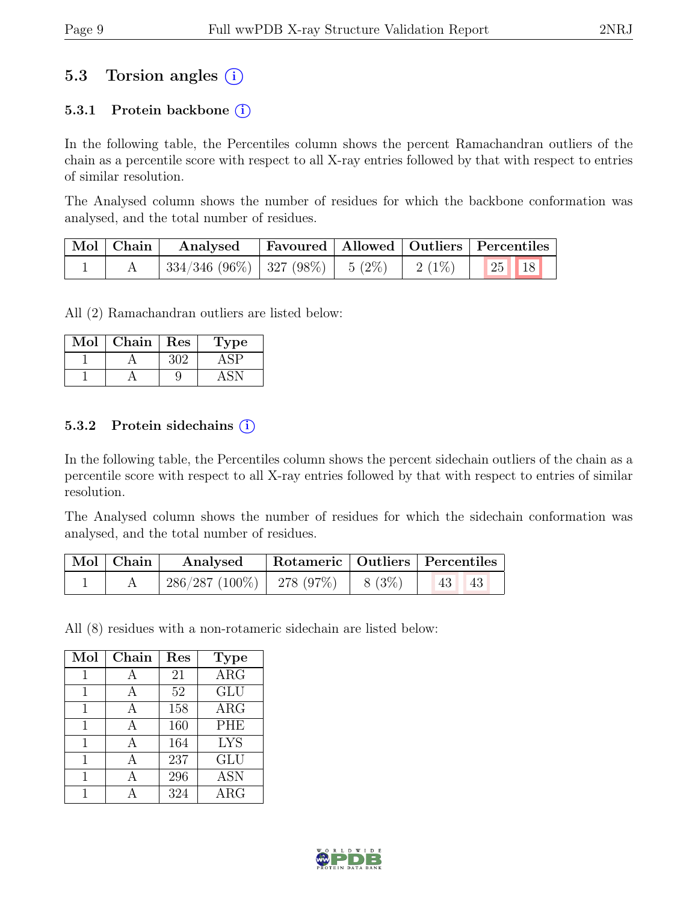# 5.3 Torsion angles  $(i)$

### 5.3.1 Protein backbone  $(i)$

In the following table, the Percentiles column shows the percent Ramachandran outliers of the chain as a percentile score with respect to all X-ray entries followed by that with respect to entries of similar resolution.

The Analysed column shows the number of residues for which the backbone conformation was analysed, and the total number of residues.

| $\vert$ Mol $\vert$ Chain $\vert$ | Analysed                                | Favoured   Allowed   Outliers   Percentiles |                     |                                                        |  |
|-----------------------------------|-----------------------------------------|---------------------------------------------|---------------------|--------------------------------------------------------|--|
|                                   | $334/346$ (96\%)   327 (98\%)   5 (2\%) |                                             | $\frac{1}{2}$ (1\%) | $\begin{array}{ c c c }\n\hline\n25 & 18\n\end{array}$ |  |

All (2) Ramachandran outliers are listed below:

| Mol | Chain | $\operatorname{Res}% \left( \mathcal{N}\right) \equiv\operatorname{Res}(\mathcal{N}_{0},\mathcal{N}_{0})$ | l'ype |
|-----|-------|-----------------------------------------------------------------------------------------------------------|-------|
|     |       | ⊰∩'∠                                                                                                      |       |
|     |       |                                                                                                           |       |

### 5.3.2 Protein sidechains (i)

In the following table, the Percentiles column shows the percent sidechain outliers of the chain as a percentile score with respect to all X-ray entries followed by that with respect to entries of similar resolution.

The Analysed column shows the number of residues for which the sidechain conformation was analysed, and the total number of residues.

| $\mid$ Mol $\mid$ Chain $\mid$ | Analysed                       |         | Rotameric   Outliers   Percentiles |  |
|--------------------------------|--------------------------------|---------|------------------------------------|--|
|                                | $286/287$ (100\%)   278 (97\%) | 8 (3\%) | -43<br>43                          |  |

All (8) residues with a non-rotameric sidechain are listed below:

| Mol | Chain        | Res | <b>Type</b> |
|-----|--------------|-----|-------------|
| 1   | A            | 21  | ARG         |
| 1   | A            | 52  | <b>GLU</b>  |
| 1   | А            | 158 | $\rm{ARG}$  |
| 1   | А            | 160 | <b>PHE</b>  |
| 1   |              | 164 | <b>LYS</b>  |
| 1   | $\mathsf{A}$ | 237 | <b>GLU</b>  |
| 1   |              | 296 | <b>ASN</b>  |
|     |              | 324 | ARG         |

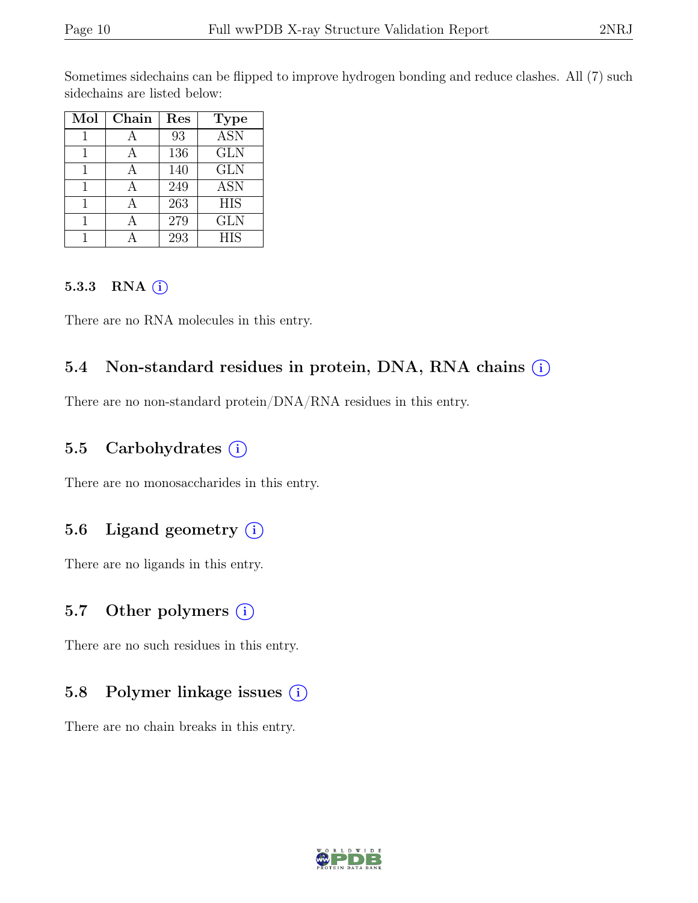Sometimes sidechains can be flipped to improve hydrogen bonding and reduce clashes. All (7) such sidechains are listed below:

| Mol | Chain | Res | <b>Type</b> |
|-----|-------|-----|-------------|
|     |       | 93  | <b>ASN</b>  |
|     |       | 136 | <b>GLN</b>  |
|     |       | 140 | <b>GLN</b>  |
|     |       | 249 | <b>ASN</b>  |
|     |       | 263 | <b>HIS</b>  |
|     |       | 279 | <b>GLN</b>  |
|     |       | 293 | <b>HIS</b>  |

#### 5.3.3 RNA  $(i)$

There are no RNA molecules in this entry.

# 5.4 Non-standard residues in protein, DNA, RNA chains (i)

There are no non-standard protein/DNA/RNA residues in this entry.

### 5.5 Carbohydrates (i)

There are no monosaccharides in this entry.

# 5.6 Ligand geometry  $(i)$

There are no ligands in this entry.

### 5.7 Other polymers (i)

There are no such residues in this entry.

# 5.8 Polymer linkage issues (i)

There are no chain breaks in this entry.